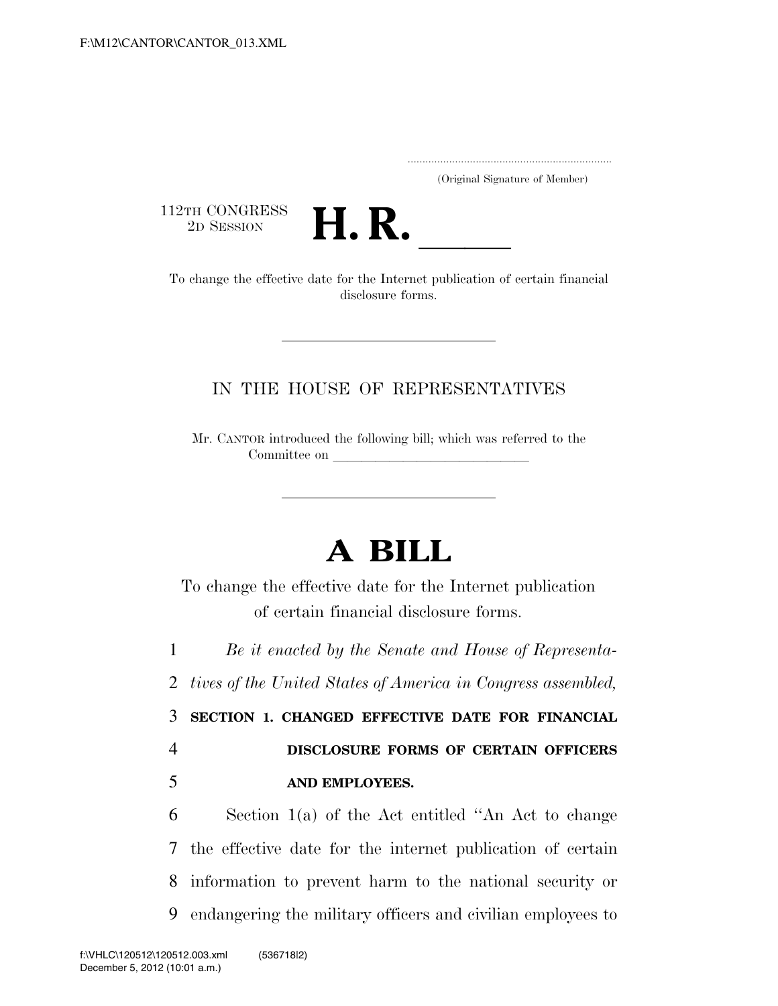.....................................................................

(Original Signature of Member)

112TH CONGRESS<br>2D SESSION



12TH CONGRESS<br>
2D SESSION<br>
To change the effective date for the Internet publication of certain financial disclosure forms.

## IN THE HOUSE OF REPRESENTATIVES

Mr. CANTOR introduced the following bill; which was referred to the Committee on

## **A BILL**

To change the effective date for the Internet publication of certain financial disclosure forms.

1 *Be it enacted by the Senate and House of Representa-*

2 *tives of the United States of America in Congress assembled,* 

3 **SECTION 1. CHANGED EFFECTIVE DATE FOR FINANCIAL**  4 **DISCLOSURE FORMS OF CERTAIN OFFICERS** 

5 **AND EMPLOYEES.** 

 Section 1(a) of the Act entitled ''An Act to change the effective date for the internet publication of certain information to prevent harm to the national security or endangering the military officers and civilian employees to